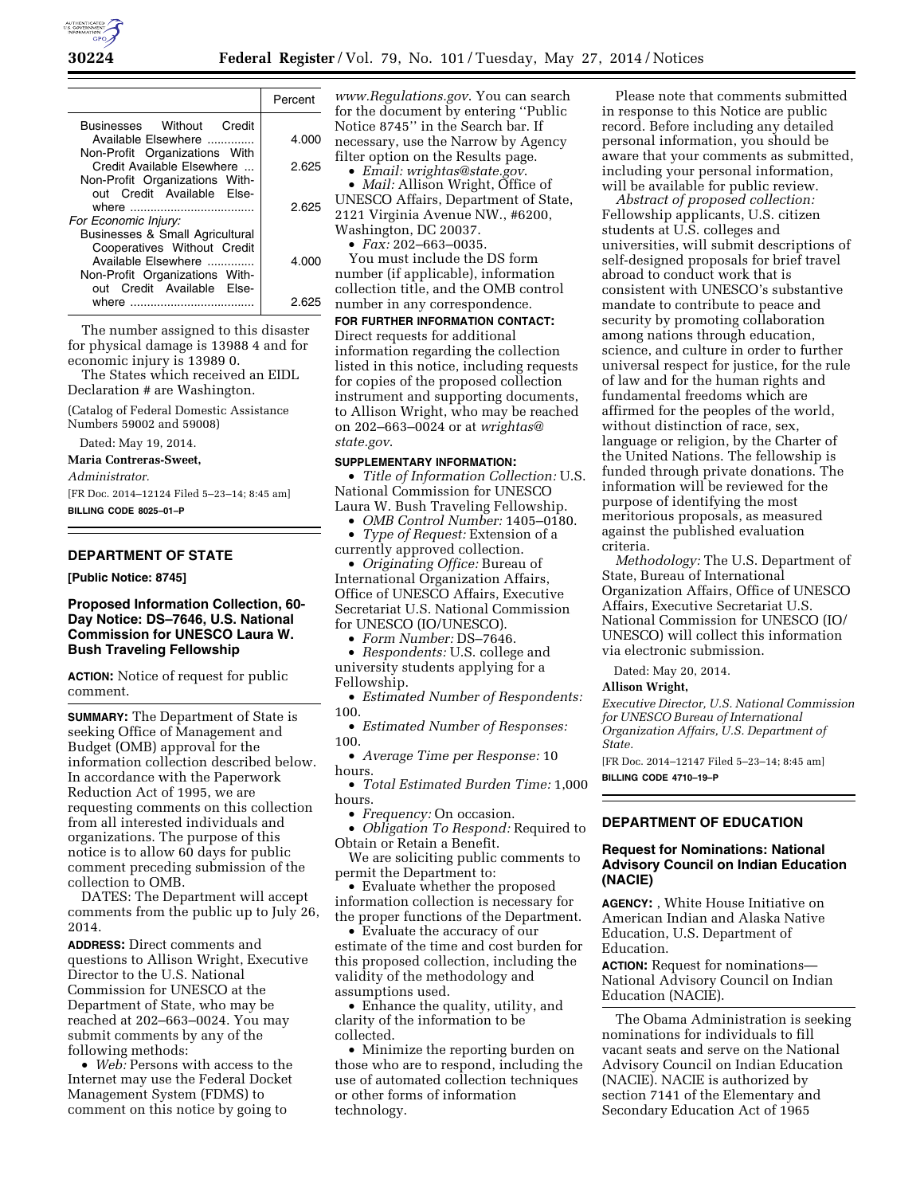

|                                                             | Percent |
|-------------------------------------------------------------|---------|
| Businesses Without Credit                                   |         |
| Available Elsewhere                                         | 4.000   |
| Non-Profit Organizations With<br>Credit Available Elsewhere | 2.625   |
| Non-Profit Organizations With-                              |         |
| out Credit Available Else-                                  |         |
|                                                             | 2.625   |
| For Economic Injury:<br>Businesses & Small Agricultural     |         |
| Cooperatives Without Credit                                 |         |
| Available Elsewhere                                         | 4.000   |
| Non-Profit Organizations With-                              |         |
| out Credit Available Else-<br>where                         | 2.62    |
|                                                             |         |

The number assigned to this disaster for physical damage is 13988 4 and for economic injury is 13989 0.

The States which received an EIDL Declaration # are Washington.

(Catalog of Federal Domestic Assistance Numbers 59002 and 59008)

Dated: May 19, 2014.

#### **Maria Contreras-Sweet,**

*Administrator.* 

[FR Doc. 2014–12124 Filed 5–23–14; 8:45 am] **BILLING CODE 8025–01–P** 

# **DEPARTMENT OF STATE**

**[Public Notice: 8745]** 

### **Proposed Information Collection, 60- Day Notice: DS–7646, U.S. National Commission for UNESCO Laura W. Bush Traveling Fellowship**

**ACTION:** Notice of request for public comment.

**SUMMARY:** The Department of State is seeking Office of Management and Budget (OMB) approval for the information collection described below. In accordance with the Paperwork Reduction Act of 1995, we are requesting comments on this collection from all interested individuals and organizations. The purpose of this notice is to allow 60 days for public comment preceding submission of the collection to OMB.

DATES: The Department will accept comments from the public up to July 26, 2014.

**ADDRESS:** Direct comments and questions to Allison Wright, Executive Director to the U.S. National Commission for UNESCO at the Department of State, who may be reached at 202–663–0024. You may submit comments by any of the following methods:

• *Web:* Persons with access to the Internet may use the Federal Docket Management System (FDMS) to comment on this notice by going to

*[www.Regulations.gov](http://www.Regulations.gov)*. You can search for the document by entering ''Public Notice 8745'' in the Search bar. If necessary, use the Narrow by Agency filter option on the Results page.

• *Email: [wrightas@state.gov](mailto:wrightas@state.gov)*.

• *Mail:* Allison Wright, Office of UNESCO Affairs, Department of State, 2121 Virginia Avenue NW., #6200, Washington, DC 20037.

• *Fax:* 202–663–0035.

You must include the DS form number (if applicable), information collection title, and the OMB control number in any correspondence.

**FOR FURTHER INFORMATION CONTACT:**  Direct requests for additional information regarding the collection listed in this notice, including requests for copies of the proposed collection instrument and supporting documents, to Allison Wright, who may be reached on 202–663–0024 or at *[wrightas@](mailto:wrightas@state.gov) [state.gov](mailto:wrightas@state.gov)*.

#### **SUPPLEMENTARY INFORMATION:**

• *Title of Information Collection:* U.S. National Commission for UNESCO Laura W. Bush Traveling Fellowship.

• *OMB Control Number:* 1405–0180.

• *Type of Request:* Extension of a

currently approved collection.

• *Originating Office:* Bureau of International Organization Affairs, Office of UNESCO Affairs, Executive Secretariat U.S. National Commission for UNESCO (IO/UNESCO).

• *Form Number:* DS–7646.

• *Respondents:* U.S. college and university students applying for a Fellowship.

• *Estimated Number of Respondents:*  100.

• *Estimated Number of Responses:*  100.

• *Average Time per Response:* 10 hours.

• *Total Estimated Burden Time:* 1,000 hours.

• *Frequency:* On occasion.

• *Obligation To Respond:* Required to Obtain or Retain a Benefit.

We are soliciting public comments to permit the Department to:

• Evaluate whether the proposed information collection is necessary for the proper functions of the Department.

• Evaluate the accuracy of our estimate of the time and cost burden for this proposed collection, including the validity of the methodology and assumptions used.

• Enhance the quality, utility, and clarity of the information to be collected.

• Minimize the reporting burden on those who are to respond, including the use of automated collection techniques or other forms of information technology.

Please note that comments submitted in response to this Notice are public record. Before including any detailed personal information, you should be aware that your comments as submitted, including your personal information, will be available for public review.

*Abstract of proposed collection:*  Fellowship applicants, U.S. citizen students at U.S. colleges and universities, will submit descriptions of self-designed proposals for brief travel abroad to conduct work that is consistent with UNESCO's substantive mandate to contribute to peace and security by promoting collaboration among nations through education, science, and culture in order to further universal respect for justice, for the rule of law and for the human rights and fundamental freedoms which are affirmed for the peoples of the world, without distinction of race, sex, language or religion, by the Charter of the United Nations. The fellowship is funded through private donations. The information will be reviewed for the purpose of identifying the most meritorious proposals, as measured against the published evaluation criteria.

*Methodology:* The U.S. Department of State, Bureau of International Organization Affairs, Office of UNESCO Affairs, Executive Secretariat U.S. National Commission for UNESCO (IO/ UNESCO) will collect this information via electronic submission.

Dated: May 20, 2014.

#### **Allison Wright,**

*Executive Director, U.S. National Commission for UNESCO Bureau of International Organization Affairs, U.S. Department of State.*  [FR Doc. 2014–12147 Filed 5–23–14; 8:45 am]

**BILLING CODE 4710–19–P** 

### **DEPARTMENT OF EDUCATION**

### **Request for Nominations: National Advisory Council on Indian Education (NACIE)**

**AGENCY:** , White House Initiative on American Indian and Alaska Native Education, U.S. Department of Education.

**ACTION:** Request for nominations— National Advisory Council on Indian Education (NACIE).

The Obama Administration is seeking nominations for individuals to fill vacant seats and serve on the National Advisory Council on Indian Education (NACIE). NACIE is authorized by section 7141 of the Elementary and Secondary Education Act of 1965